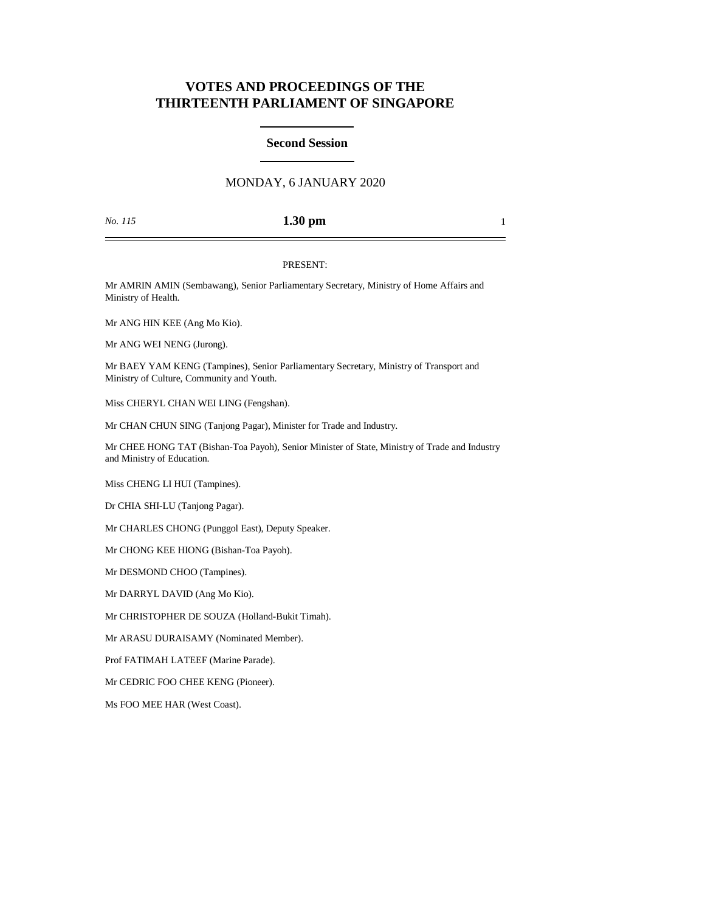# **VOTES AND PROCEEDINGS OF THE THIRTEENTH PARLIAMENT OF SINGAPORE**

## **Second Session**

## MONDAY, 6 JANUARY 2020

### *No. 115* **1.30 pm** 1

#### PRESENT:

Mr AMRIN AMIN (Sembawang), Senior Parliamentary Secretary, Ministry of Home Affairs and Ministry of Health.

Mr ANG HIN KEE (Ang Mo Kio).

Mr ANG WEI NENG (Jurong).

Mr BAEY YAM KENG (Tampines), Senior Parliamentary Secretary, Ministry of Transport and Ministry of Culture, Community and Youth.

Miss CHERYL CHAN WEI LING (Fengshan).

Mr CHAN CHUN SING (Tanjong Pagar), Minister for Trade and Industry.

Mr CHEE HONG TAT (Bishan-Toa Payoh), Senior Minister of State, Ministry of Trade and Industry and Ministry of Education.

Miss CHENG LI HUI (Tampines).

Dr CHIA SHI-LU (Tanjong Pagar).

Mr CHARLES CHONG (Punggol East), Deputy Speaker.

Mr CHONG KEE HIONG (Bishan-Toa Payoh).

Mr DESMOND CHOO (Tampines).

Mr DARRYL DAVID (Ang Mo Kio).

Mr CHRISTOPHER DE SOUZA (Holland-Bukit Timah).

Mr ARASU DURAISAMY (Nominated Member).

Prof FATIMAH LATEEF (Marine Parade).

Mr CEDRIC FOO CHEE KENG (Pioneer).

Ms FOO MEE HAR (West Coast).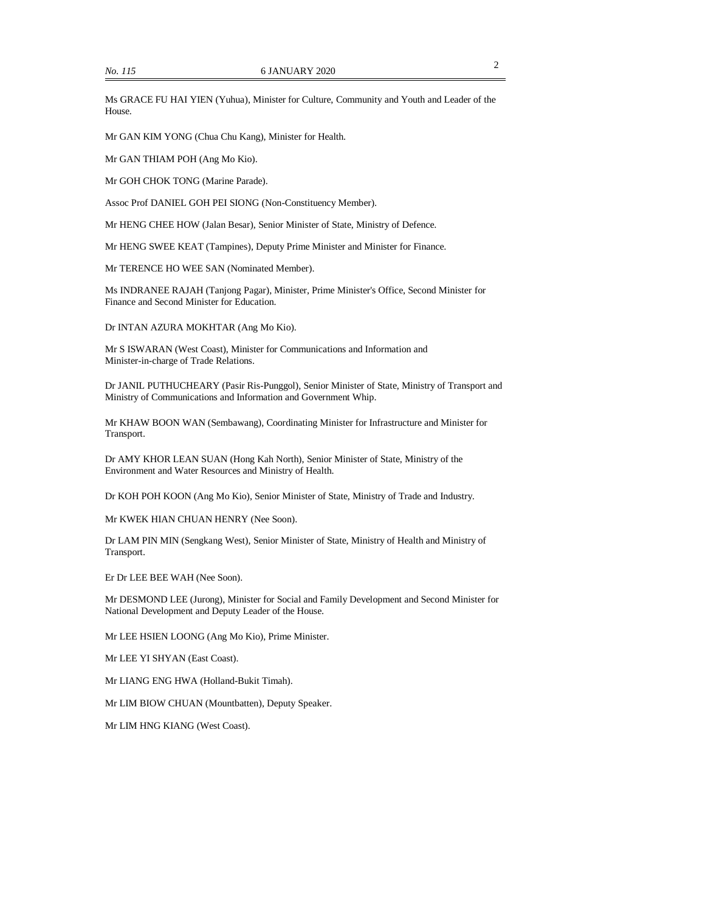Ms GRACE FU HAI YIEN (Yuhua), Minister for Culture, Community and Youth and Leader of the House.

Mr GAN KIM YONG (Chua Chu Kang), Minister for Health.

Mr GAN THIAM POH (Ang Mo Kio).

Mr GOH CHOK TONG (Marine Parade).

Assoc Prof DANIEL GOH PEI SIONG (Non-Constituency Member).

Mr HENG CHEE HOW (Jalan Besar), Senior Minister of State, Ministry of Defence.

Mr HENG SWEE KEAT (Tampines), Deputy Prime Minister and Minister for Finance.

Mr TERENCE HO WEE SAN (Nominated Member).

Ms INDRANEE RAJAH (Tanjong Pagar), Minister, Prime Minister's Office, Second Minister for Finance and Second Minister for Education.

Dr INTAN AZURA MOKHTAR (Ang Mo Kio).

Mr S ISWARAN (West Coast), Minister for Communications and Information and Minister-in-charge of Trade Relations.

Dr JANIL PUTHUCHEARY (Pasir Ris-Punggol), Senior Minister of State, Ministry of Transport and Ministry of Communications and Information and Government Whip.

Mr KHAW BOON WAN (Sembawang), Coordinating Minister for Infrastructure and Minister for Transport.

Dr AMY KHOR LEAN SUAN (Hong Kah North), Senior Minister of State, Ministry of the Environment and Water Resources and Ministry of Health.

Dr KOH POH KOON (Ang Mo Kio), Senior Minister of State, Ministry of Trade and Industry.

Mr KWEK HIAN CHUAN HENRY (Nee Soon).

Dr LAM PIN MIN (Sengkang West), Senior Minister of State, Ministry of Health and Ministry of Transport.

Er Dr LEE BEE WAH (Nee Soon).

Mr DESMOND LEE (Jurong), Minister for Social and Family Development and Second Minister for National Development and Deputy Leader of the House.

Mr LEE HSIEN LOONG (Ang Mo Kio), Prime Minister.

Mr LEE YI SHYAN (East Coast).

Mr LIANG ENG HWA (Holland-Bukit Timah).

Mr LIM BIOW CHUAN (Mountbatten), Deputy Speaker.

Mr LIM HNG KIANG (West Coast).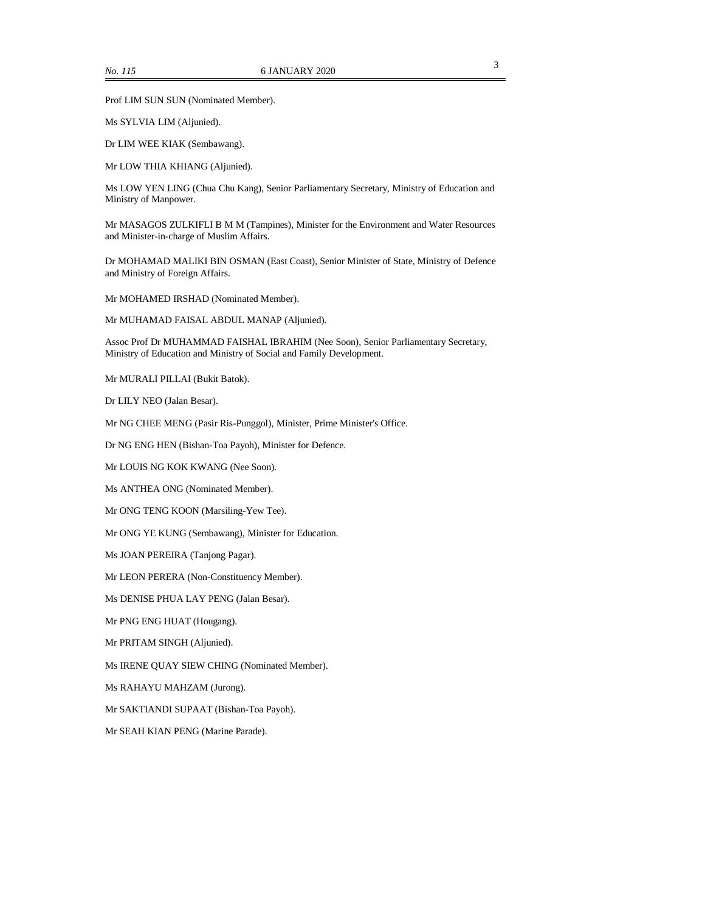Prof LIM SUN SUN (Nominated Member).

Ms SYLVIA LIM (Aljunied).

Dr LIM WEE KIAK (Sembawang).

Mr LOW THIA KHIANG (Aljunied).

Ms LOW YEN LING (Chua Chu Kang), Senior Parliamentary Secretary, Ministry of Education and Ministry of Manpower.

Mr MASAGOS ZULKIFLI B M M (Tampines), Minister for the Environment and Water Resources and Minister-in-charge of Muslim Affairs.

Dr MOHAMAD MALIKI BIN OSMAN (East Coast), Senior Minister of State, Ministry of Defence and Ministry of Foreign Affairs.

Mr MOHAMED IRSHAD (Nominated Member).

Mr MUHAMAD FAISAL ABDUL MANAP (Aljunied).

Assoc Prof Dr MUHAMMAD FAISHAL IBRAHIM (Nee Soon), Senior Parliamentary Secretary, Ministry of Education and Ministry of Social and Family Development.

Mr MURALI PILLAI (Bukit Batok).

Dr LILY NEO (Jalan Besar).

Mr NG CHEE MENG (Pasir Ris-Punggol), Minister, Prime Minister's Office.

Dr NG ENG HEN (Bishan-Toa Payoh), Minister for Defence.

Mr LOUIS NG KOK KWANG (Nee Soon).

Ms ANTHEA ONG (Nominated Member).

Mr ONG TENG KOON (Marsiling-Yew Tee).

Mr ONG YE KUNG (Sembawang), Minister for Education.

Ms JOAN PEREIRA (Tanjong Pagar).

Mr LEON PERERA (Non-Constituency Member).

Ms DENISE PHUA LAY PENG (Jalan Besar).

Mr PNG ENG HUAT (Hougang).

Mr PRITAM SINGH (Aljunied).

Ms IRENE QUAY SIEW CHING (Nominated Member).

Ms RAHAYU MAHZAM (Jurong).

Mr SAKTIANDI SUPAAT (Bishan-Toa Payoh).

Mr SEAH KIAN PENG (Marine Parade).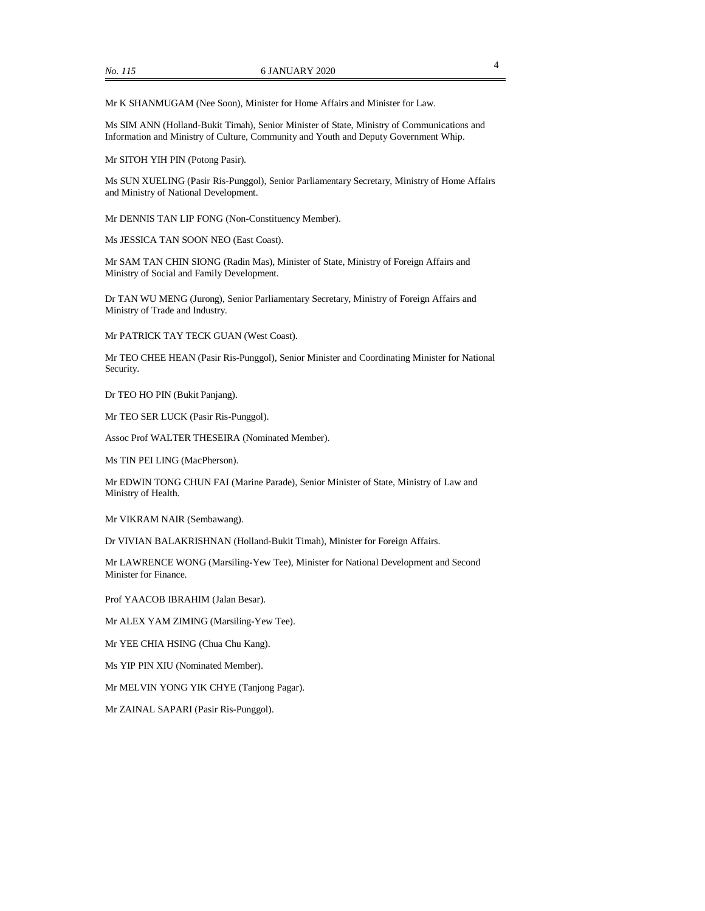Mr K SHANMUGAM (Nee Soon), Minister for Home Affairs and Minister for Law.

Ms SIM ANN (Holland-Bukit Timah), Senior Minister of State, Ministry of Communications and Information and Ministry of Culture, Community and Youth and Deputy Government Whip.

Mr SITOH YIH PIN (Potong Pasir).

Ms SUN XUELING (Pasir Ris-Punggol), Senior Parliamentary Secretary, Ministry of Home Affairs and Ministry of National Development.

Mr DENNIS TAN LIP FONG (Non-Constituency Member).

Ms JESSICA TAN SOON NEO (East Coast).

Mr SAM TAN CHIN SIONG (Radin Mas), Minister of State, Ministry of Foreign Affairs and Ministry of Social and Family Development.

Dr TAN WU MENG (Jurong), Senior Parliamentary Secretary, Ministry of Foreign Affairs and Ministry of Trade and Industry.

Mr PATRICK TAY TECK GUAN (West Coast).

Mr TEO CHEE HEAN (Pasir Ris-Punggol), Senior Minister and Coordinating Minister for National Security.

Dr TEO HO PIN (Bukit Panjang).

Mr TEO SER LUCK (Pasir Ris-Punggol).

Assoc Prof WALTER THESEIRA (Nominated Member).

Ms TIN PEI LING (MacPherson).

Mr EDWIN TONG CHUN FAI (Marine Parade), Senior Minister of State, Ministry of Law and Ministry of Health.

Mr VIKRAM NAIR (Sembawang).

Dr VIVIAN BALAKRISHNAN (Holland-Bukit Timah), Minister for Foreign Affairs.

Mr LAWRENCE WONG (Marsiling-Yew Tee), Minister for National Development and Second Minister for Finance.

Prof YAACOB IBRAHIM (Jalan Besar).

Mr ALEX YAM ZIMING (Marsiling-Yew Tee).

Mr YEE CHIA HSING (Chua Chu Kang).

Ms YIP PIN XIU (Nominated Member).

Mr MELVIN YONG YIK CHYE (Tanjong Pagar).

Mr ZAINAL SAPARI (Pasir Ris-Punggol).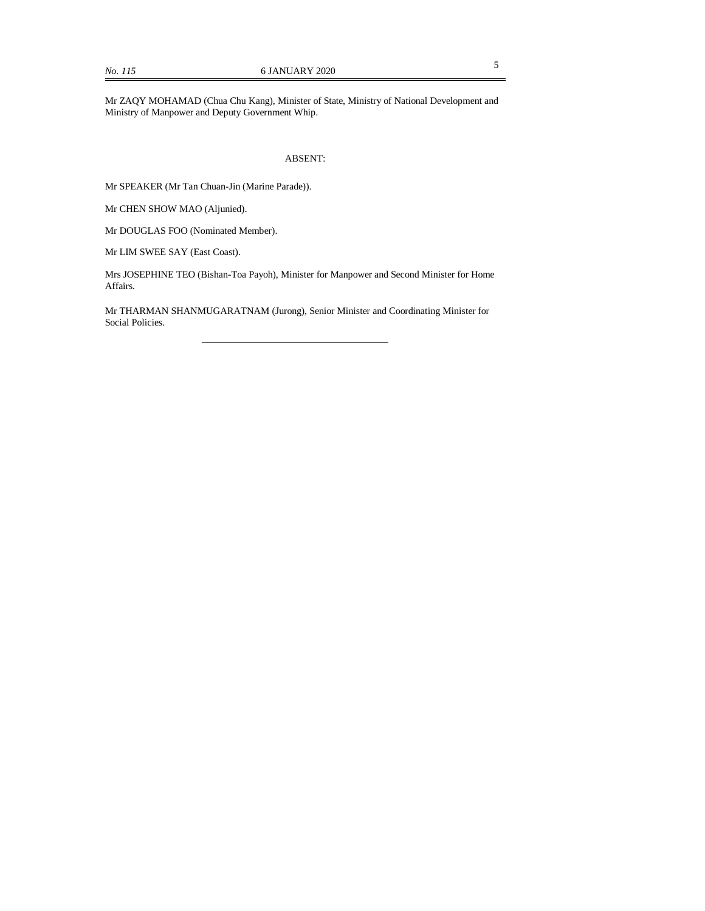Mr ZAQY MOHAMAD (Chua Chu Kang), Minister of State, Ministry of National Development and Ministry of Manpower and Deputy Government Whip.

### ABSENT:

Mr SPEAKER (Mr Tan Chuan-Jin (Marine Parade)).

Mr CHEN SHOW MAO (Aljunied).

Mr DOUGLAS FOO (Nominated Member).

Mr LIM SWEE SAY (East Coast).

Mrs JOSEPHINE TEO (Bishan-Toa Payoh), Minister for Manpower and Second Minister for Home Affairs.

Mr THARMAN SHANMUGARATNAM (Jurong), Senior Minister and Coordinating Minister for Social Policies.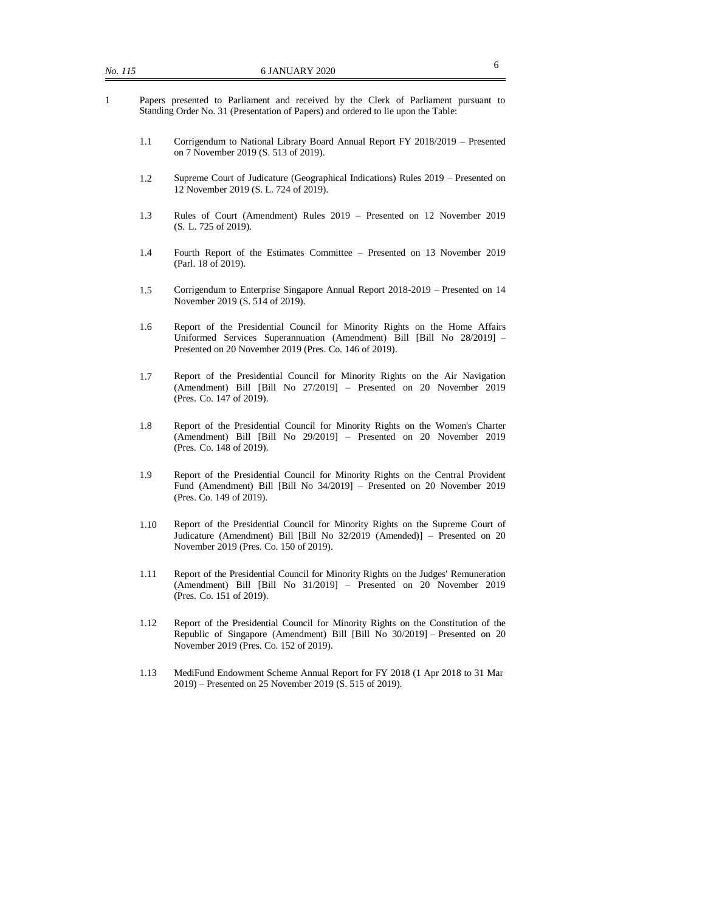- 1 Papers presented to Parliament and received by the Clerk of Parliament pursuant to Standing Order No. 31 (Presentation of Papers) and ordered to lie upon the Table:
	- 1.1 Corrigendum to National Library Board Annual Report FY 2018/2019 Presented on 7 November 2019 (S. 513 of 2019).
	- 1.2 Supreme Court of Judicature (Geographical Indications) Rules 2019 Presented on 12 November 2019 (S. L. 724 of 2019).
	- 1.3 Rules of Court (Amendment) Rules 2019 Presented on 12 November 2019 (S. L. 725 of 2019).
	- 1.4 Fourth Report of the Estimates Committee Presented on 13 November 2019 (Parl. 18 of 2019).
	- 1.5 Corrigendum to Enterprise Singapore Annual Report 2018-2019 Presented on 14 November 2019 (S. 514 of 2019).
	- 1.6 Report of the Presidential Council for Minority Rights on the Home Affairs Uniformed Services Superannuation (Amendment) Bill [Bill No 28/2019] – Presented on 20 November 2019 (Pres. Co. 146 of 2019).
	- 1.7 Report of the Presidential Council for Minority Rights on the Air Navigation (Amendment) Bill [Bill No 27/2019] – Presented on 20 November 2019 (Pres. Co. 147 of 2019).
	- 1.8 Report of the Presidential Council for Minority Rights on the Women's Charter (Amendment) Bill [Bill No 29/2019] – Presented on 20 November 2019 (Pres. Co. 148 of 2019).
	- 1.9 Report of the Presidential Council for Minority Rights on the Central Provident Fund (Amendment) Bill [Bill No 34/2019] – Presented on 20 November 2019 (Pres. Co. 149 of 2019).
	- 1.10 Report of the Presidential Council for Minority Rights on the Supreme Court of Judicature (Amendment) Bill [Bill No 32/2019 (Amended)] – Presented on 20 November 2019 (Pres. Co. 150 of 2019).
	- 1.11 Report of the Presidential Council for Minority Rights on the Judges' Remuneration (Amendment) Bill [Bill No 31/2019] – Presented on 20 November 2019 (Pres. Co. 151 of 2019).
	- 1.12 Report of the Presidential Council for Minority Rights on the Constitution of the Republic of Singapore (Amendment) Bill [Bill No 30/2019] – Presented on 20 November 2019 (Pres. Co. 152 of 2019).
	- 1.13 MediFund Endowment Scheme Annual Report for FY 2018 (1 Apr 2018 to 31 Mar 2019) – Presented on 25 November 2019 (S. 515 of 2019).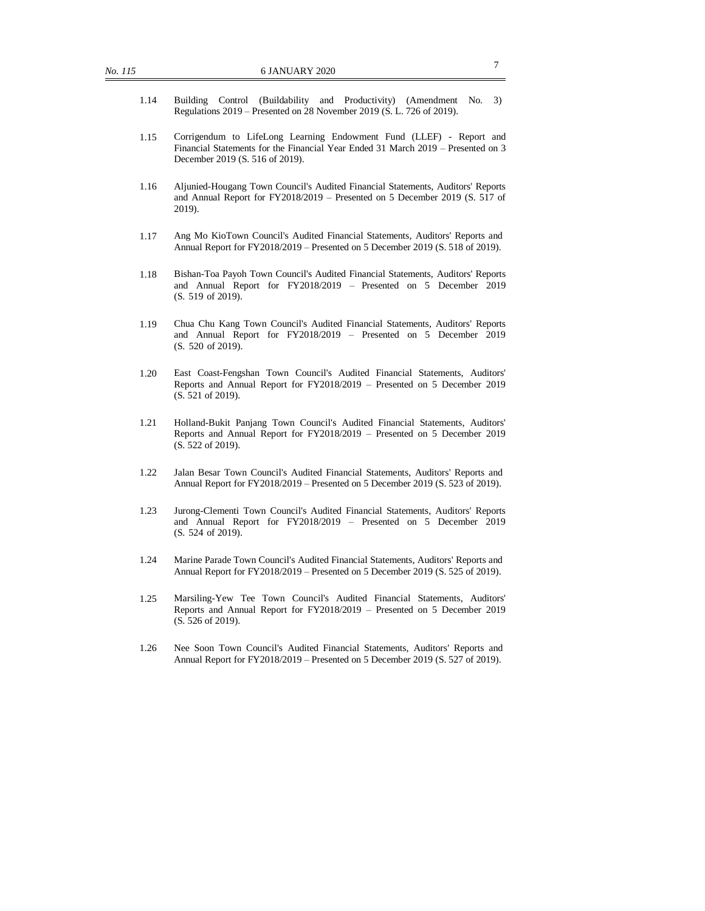- 1.14 Building Control (Buildability and Productivity) (Amendment No. 3) Regulations 2019 – Presented on 28 November 2019 (S. L. 726 of 2019).
- 1.15 Corrigendum to LifeLong Learning Endowment Fund (LLEF) Report and Financial Statements for the Financial Year Ended 31 March 2019 – Presented on 3 December 2019 (S. 516 of 2019).
- 1.16 Aljunied-Hougang Town Council's Audited Financial Statements, Auditors' Reports and Annual Report for FY2018/2019 – Presented on 5 December 2019 (S. 517 of 2019).
- 1.17 Ang Mo KioTown Council's Audited Financial Statements, Auditors' Reports and Annual Report for FY2018/2019 – Presented on 5 December 2019 (S. 518 of 2019).
- 1.18 Bishan-Toa Payoh Town Council's Audited Financial Statements, Auditors' Reports and Annual Report for FY2018/2019 – Presented on 5 December 2019 (S. 519 of 2019).
- 1.19 Chua Chu Kang Town Council's Audited Financial Statements, Auditors' Reports and Annual Report for FY2018/2019 – Presented on 5 December 2019 (S. 520 of 2019).
- 1.20 East Coast-Fengshan Town Council's Audited Financial Statements, Auditors' Reports and Annual Report for FY2018/2019 – Presented on 5 December 2019 (S. 521 of 2019).
- 1.21 Holland-Bukit Panjang Town Council's Audited Financial Statements, Auditors' Reports and Annual Report for FY2018/2019 – Presented on 5 December 2019 (S. 522 of 2019).
- 1.22 Jalan Besar Town Council's Audited Financial Statements, Auditors' Reports and Annual Report for FY2018/2019 – Presented on 5 December 2019 (S. 523 of 2019).
- 1.23 Jurong-Clementi Town Council's Audited Financial Statements, Auditors' Reports and Annual Report for FY2018/2019 – Presented on 5 December 2019 (S. 524 of 2019).
- 1.24 Marine Parade Town Council's Audited Financial Statements, Auditors' Reports and Annual Report for FY2018/2019 – Presented on 5 December 2019 (S. 525 of 2019).
- 1.25 Marsiling-Yew Tee Town Council's Audited Financial Statements, Auditors' Reports and Annual Report for FY2018/2019 – Presented on 5 December 2019 (S. 526 of 2019).
- 1.26 Nee Soon Town Council's Audited Financial Statements, Auditors' Reports and Annual Report for FY2018/2019 – Presented on 5 December 2019 (S. 527 of 2019).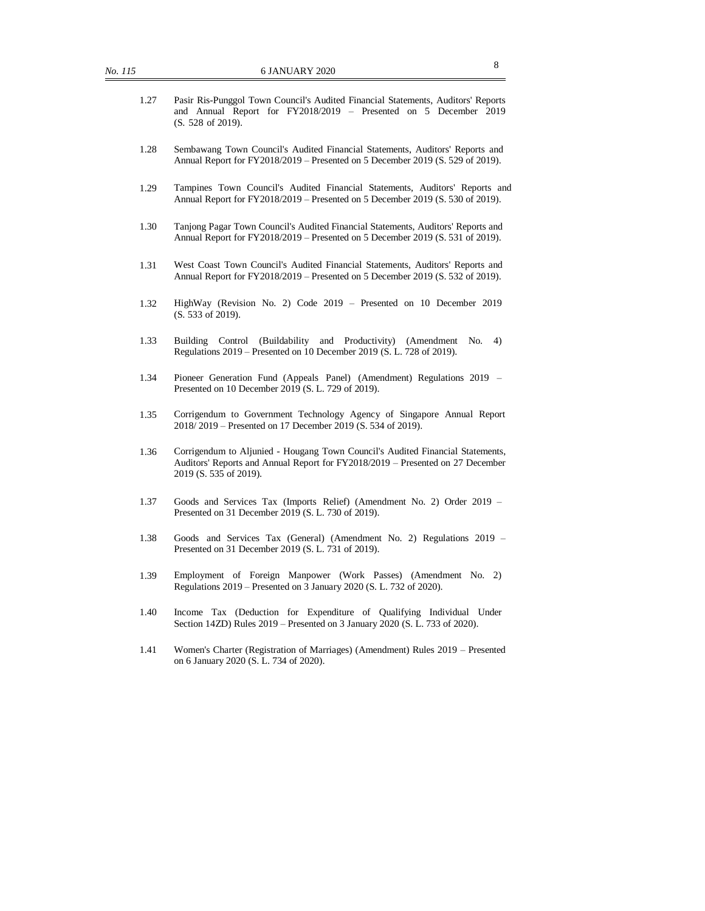- 1.27 Pasir Ris-Punggol Town Council's Audited Financial Statements, Auditors' Reports and Annual Report for FY2018/2019 – Presented on 5 December 2019 (S. 528 of 2019).
- 1.28 Sembawang Town Council's Audited Financial Statements, Auditors' Reports and Annual Report for FY2018/2019 – Presented on 5 December 2019 (S. 529 of 2019).
- 1.29 Tampines Town Council's Audited Financial Statements, Auditors' Reports and Annual Report for FY2018/2019 – Presented on 5 December 2019 (S. 530 of 2019).
- 1.30 Tanjong Pagar Town Council's Audited Financial Statements, Auditors' Reports and Annual Report for FY2018/2019 – Presented on 5 December 2019 (S. 531 of 2019).
- 1.31 West Coast Town Council's Audited Financial Statements, Auditors' Reports and Annual Report for FY2018/2019 – Presented on 5 December 2019 (S. 532 of 2019).
- 1.32 HighWay (Revision No. 2) Code 2019 Presented on 10 December 2019 (S. 533 of 2019).
- 1.33 Building Control (Buildability and Productivity) (Amendment No. 4) Regulations 2019 – Presented on 10 December 2019 (S. L. 728 of 2019).
- 1.34 Pioneer Generation Fund (Appeals Panel) (Amendment) Regulations 2019 Presented on 10 December 2019 (S. L. 729 of 2019).
- 1.35 Corrigendum to Government Technology Agency of Singapore Annual Report 2018/ 2019 – Presented on 17 December 2019 (S. 534 of 2019).
- 1.36 Corrigendum to Aljunied Hougang Town Council's Audited Financial Statements, Auditors' Reports and Annual Report for FY2018/2019 – Presented on 27 December 2019 (S. 535 of 2019).
- 1.37 Goods and Services Tax (Imports Relief) (Amendment No. 2) Order 2019 Presented on 31 December 2019 (S. L. 730 of 2019).
- 1.38 Goods and Services Tax (General) (Amendment No. 2) Regulations 2019 Presented on 31 December 2019 (S. L. 731 of 2019).
- 1.39 Employment of Foreign Manpower (Work Passes) (Amendment No. 2) Regulations 2019 – Presented on 3 January 2020 (S. L. 732 of 2020).
- 1.40 Income Tax (Deduction for Expenditure of Qualifying Individual Under Section 14ZD) Rules 2019 – Presented on 3 January 2020 (S. L. 733 of 2020).
- 1.41 Women's Charter (Registration of Marriages) (Amendment) Rules 2019 Presented on 6 January 2020 (S. L. 734 of 2020).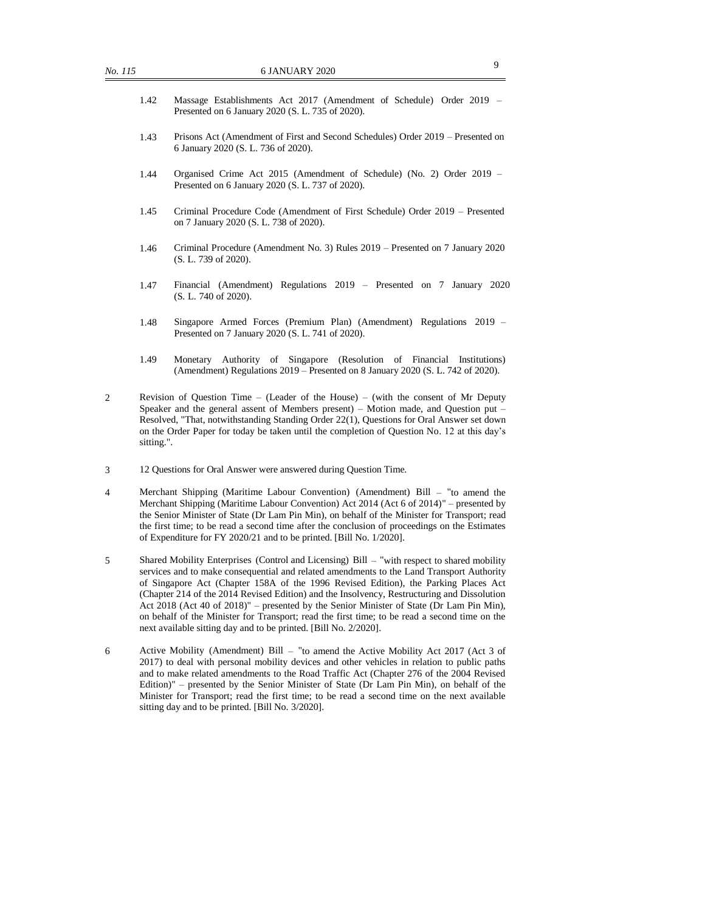- 1.42 Massage Establishments Act 2017 (Amendment of Schedule) Order 2019 Presented on 6 January 2020 (S. L. 735 of 2020).
- 1.43 Prisons Act (Amendment of First and Second Schedules) Order 2019 Presented on 6 January 2020 (S. L. 736 of 2020).
- 1.44 Organised Crime Act 2015 (Amendment of Schedule) (No. 2) Order 2019 Presented on 6 January 2020 (S. L. 737 of 2020).
- 1.45 Criminal Procedure Code (Amendment of First Schedule) Order 2019 Presented on 7 January 2020 (S. L. 738 of 2020).
- 1.46 Criminal Procedure (Amendment No. 3) Rules 2019 Presented on 7 January 2020 (S. L. 739 of 2020).
- 1.47 Financial (Amendment) Regulations 2019 Presented on 7 January 2020 (S. L. 740 of 2020).
- 1.48 Singapore Armed Forces (Premium Plan) (Amendment) Regulations 2019 Presented on 7 January 2020 (S. L. 741 of 2020).
- 1.49 Monetary Authority of Singapore (Resolution of Financial Institutions) (Amendment) Regulations 2019 – Presented on 8 January 2020 (S. L. 742 of 2020).
- 2 Revision of Question Time (Leader of the House) (with the consent of Mr Deputy Speaker and the general assent of Members present) – Motion made, and Question put – Resolved, "That, notwithstanding Standing Order 22(1), Questions for Oral Answer set down on the Order Paper for today be taken until the completion of Question No. 12 at this day's sitting.".
- 3 12 Questions for Oral Answer were answered during Question Time.
- 4 Merchant Shipping (Maritime Labour Convention) (Amendment) Bill "to amend the Merchant Shipping (Maritime Labour Convention) Act 2014 (Act 6 of 2014)" – presented by the Senior Minister of State (Dr Lam Pin Min), on behalf of the Minister for Transport; read the first time; to be read a second time after the conclusion of proceedings on the Estimates of Expenditure for FY 2020/21 and to be printed. [Bill No. 1/2020].
- 5 Shared Mobility Enterprises (Control and Licensing) Bill "with respect to shared mobility services and to make consequential and related amendments to the Land Transport Authority of Singapore Act (Chapter 158A of the 1996 Revised Edition), the Parking Places Act (Chapter 214 of the 2014 Revised Edition) and the Insolvency, Restructuring and Dissolution Act 2018 (Act 40 of 2018)" – presented by the Senior Minister of State (Dr Lam Pin Min), on behalf of the Minister for Transport; read the first time; to be read a second time on the next available sitting day and to be printed. [Bill No. 2/2020].
- 6 Active Mobility (Amendment) Bill "to amend the Active Mobility Act 2017 (Act 3 of 2017) to deal with personal mobility devices and other vehicles in relation to public paths and to make related amendments to the Road Traffic Act (Chapter 276 of the 2004 Revised Edition)" – presented by the Senior Minister of State (Dr Lam Pin Min), on behalf of the Minister for Transport; read the first time; to be read a second time on the next available sitting day and to be printed. [Bill No. 3/2020].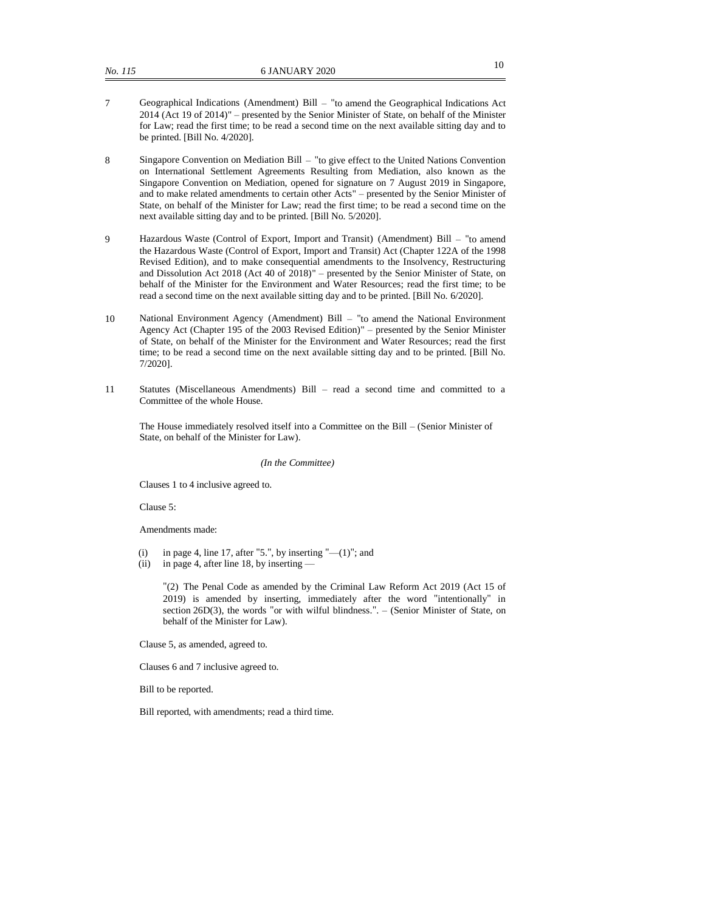- 7 Geographical Indications (Amendment) Bill "to amend the Geographical Indications Act 2014 (Act 19 of 2014)" – presented by the Senior Minister of State, on behalf of the Minister for Law; read the first time; to be read a second time on the next available sitting day and to be printed. [Bill No. 4/2020].
- 8 Singapore Convention on Mediation Bill "to give effect to the United Nations Convention on International Settlement Agreements Resulting from Mediation, also known as the Singapore Convention on Mediation, opened for signature on 7 August 2019 in Singapore, and to make related amendments to certain other Acts" – presented by the Senior Minister of State, on behalf of the Minister for Law; read the first time; to be read a second time on the next available sitting day and to be printed. [Bill No. 5/2020].
- 9 Hazardous Waste (Control of Export, Import and Transit) (Amendment) Bill "to amend the Hazardous Waste (Control of Export, Import and Transit) Act (Chapter 122A of the 1998 Revised Edition), and to make consequential amendments to the Insolvency, Restructuring and Dissolution Act 2018 (Act 40 of 2018)" – presented by the Senior Minister of State, on behalf of the Minister for the Environment and Water Resources; read the first time; to be read a second time on the next available sitting day and to be printed. [Bill No. 6/2020].
- 10 National Environment Agency (Amendment) Bill "to amend the National Environment Agency Act (Chapter 195 of the 2003 Revised Edition)" – presented by the Senior Minister of State, on behalf of the Minister for the Environment and Water Resources; read the first time; to be read a second time on the next available sitting day and to be printed. [Bill No. 7/2020].
- 11 Statutes (Miscellaneous Amendments) Bill read a second time and committed to a Committee of the whole House.

The House immediately resolved itself into a Committee on the Bill – (Senior Minister of State, on behalf of the Minister for Law).

#### *(In the Committee)*

Clauses 1 to 4 inclusive agreed to.

Clause 5:

Amendments made:

- (i) in page 4, line 17, after "5.", by inserting " $-(1)$ "; and
- (ii) in page 4, after line 18, by inserting —

"(2) The Penal Code as amended by the Criminal Law Reform Act 2019 (Act 15 of 2019) is amended by inserting, immediately after the word "intentionally" in section 26D(3), the words "or with wilful blindness.". – (Senior Minister of State, on behalf of the Minister for Law).

Clause 5, as amended, agreed to.

Clauses 6 and 7 inclusive agreed to.

Bill to be reported.

Bill reported, with amendments; read a third time.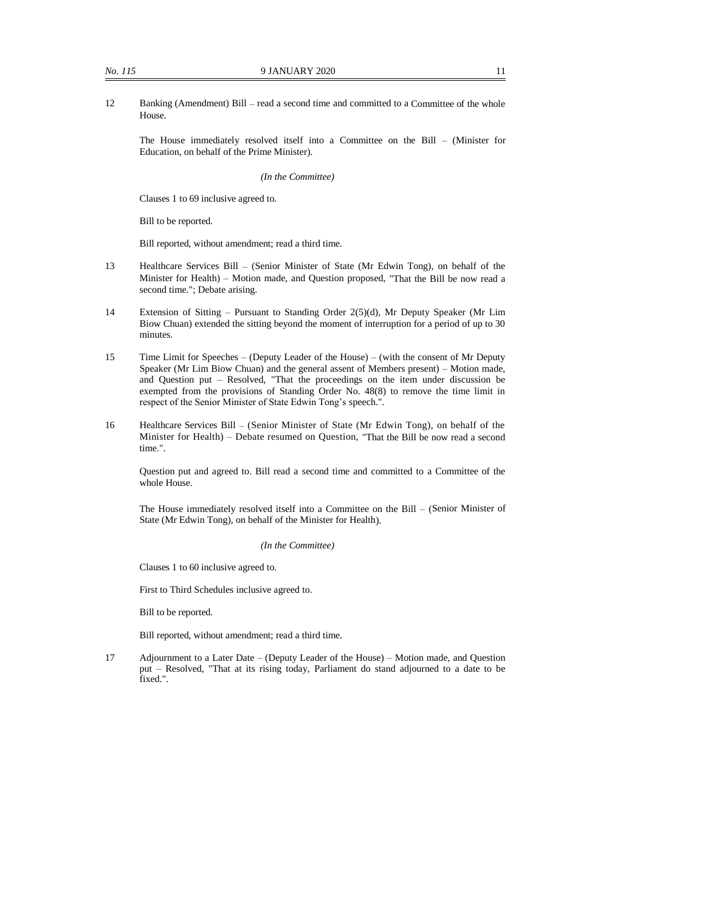The House immediately resolved itself into a Committee on the Bill – (Minister for Education, on behalf of the Prime Minister).

#### *(In the Committee)*

Clauses 1 to 69 inclusive agreed to.

Bill to be reported.

Bill reported, without amendment; read a third time.

- 13 Healthcare Services Bill (Senior Minister of State (Mr Edwin Tong), on behalf of the Minister for Health) – Motion made, and Question proposed, "That the Bill be now read a second time."; Debate arising.
- 14 Extension of Sitting Pursuant to Standing Order 2(5)(d), Mr Deputy Speaker (Mr Lim Biow Chuan) extended the sitting beyond the moment of interruption for a period of up to 30 minutes.
- 15 Time Limit for Speeches (Deputy Leader of the House) (with the consent of Mr Deputy Speaker (Mr Lim Biow Chuan) and the general assent of Members present) – Motion made, and Question put – Resolved, "That the proceedings on the item under discussion be exempted from the provisions of Standing Order No. 48(8) to remove the time limit in respect of the Senior Minister of State Edwin Tong's speech.".
- 16 Healthcare Services Bill (Senior Minister of State (Mr Edwin Tong), on behalf of the Minister for Health) – Debate resumed on Question, "That the Bill be now read a second time.".

Question put and agreed to. Bill read a second time and committed to a Committee of the whole House.

The House immediately resolved itself into a Committee on the Bill – (Senior Minister of State (Mr Edwin Tong), on behalf of the Minister for Health).

#### *(In the Committee)*

Clauses 1 to 60 inclusive agreed to.

First to Third Schedules inclusive agreed to.

Bill to be reported.

Bill reported, without amendment; read a third time.

17 Adjournment to a Later Date – (Deputy Leader of the House) – Motion made, and Question put – Resolved, "That at its rising today, Parliament do stand adjourned to a date to be fixed.".